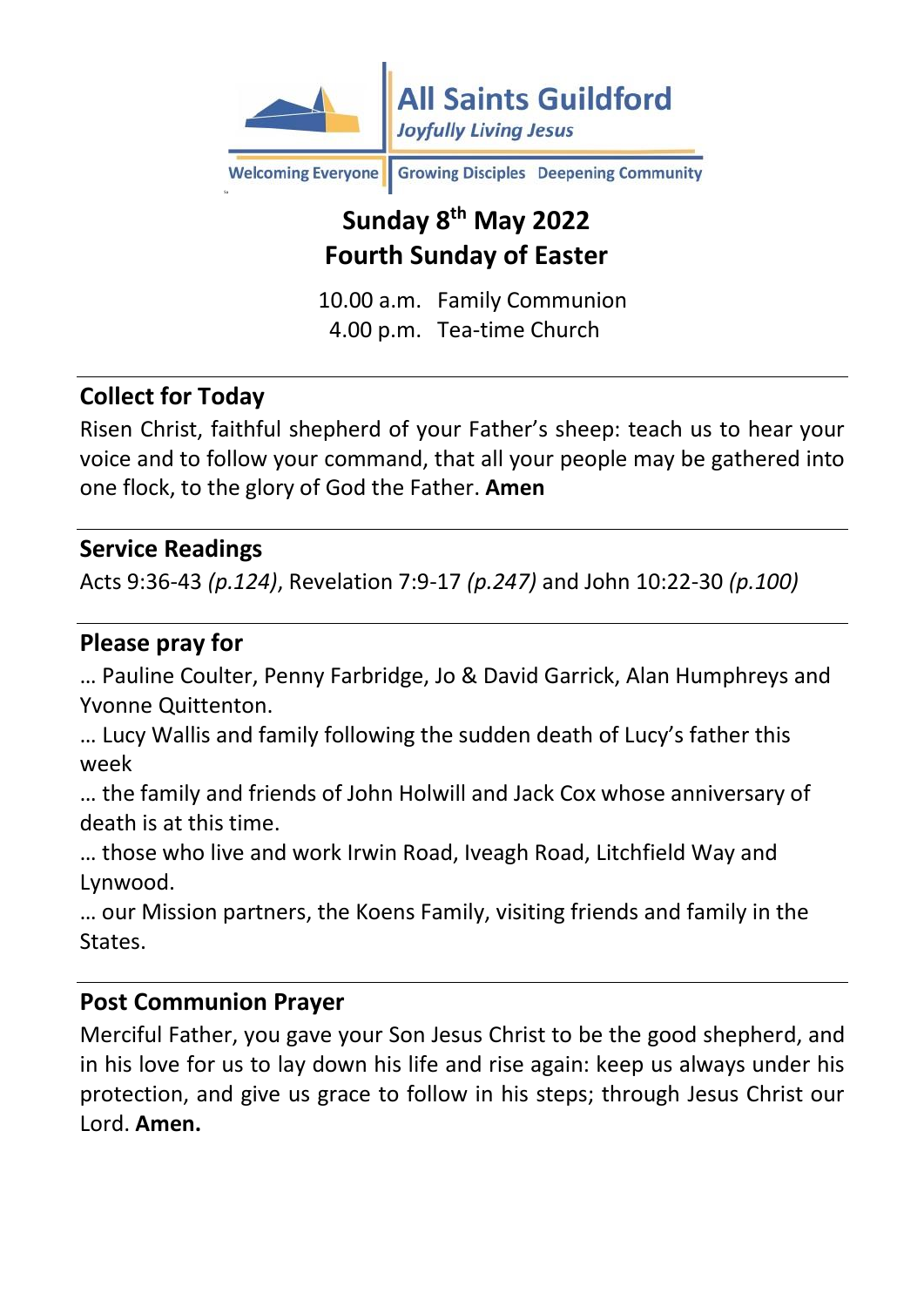

**Growing Disciples** Deepening Community **Welcoming Everyone** 

# **Sunday 8 th May 2022 Fourth Sunday of Easter**

10.00 a.m. Family Communion 4.00 p.m. Tea-time Church

### **Collect for Today**

Risen Christ, faithful shepherd of your Father's sheep: teach us to hear your voice and to follow your command, that all your people may be gathered into one flock, to the glory of God the Father. **Amen**

#### **Service Readings**

Acts 9:36-43 *(p.124)*, Revelation 7:9-17 *(p.247)* and John 10:22-30 *(p.100)*

#### **Please pray for**

… Pauline Coulter, Penny Farbridge, Jo & David Garrick, Alan Humphreys and Yvonne Quittenton.

… Lucy Wallis and family following the sudden death of Lucy's father this week

… the family and friends of John Holwill and Jack Cox whose anniversary of death is at this time.

… those who live and work Irwin Road, Iveagh Road, Litchfield Way and Lynwood.

… our Mission partners, the Koens Family, visiting friends and family in the States.

#### **Post Communion Prayer**

Merciful Father, you gave your Son Jesus Christ to be the good shepherd, and in his love for us to lay down his life and rise again: keep us always under his protection, and give us grace to follow in his steps; through Jesus Christ our Lord. **Amen.**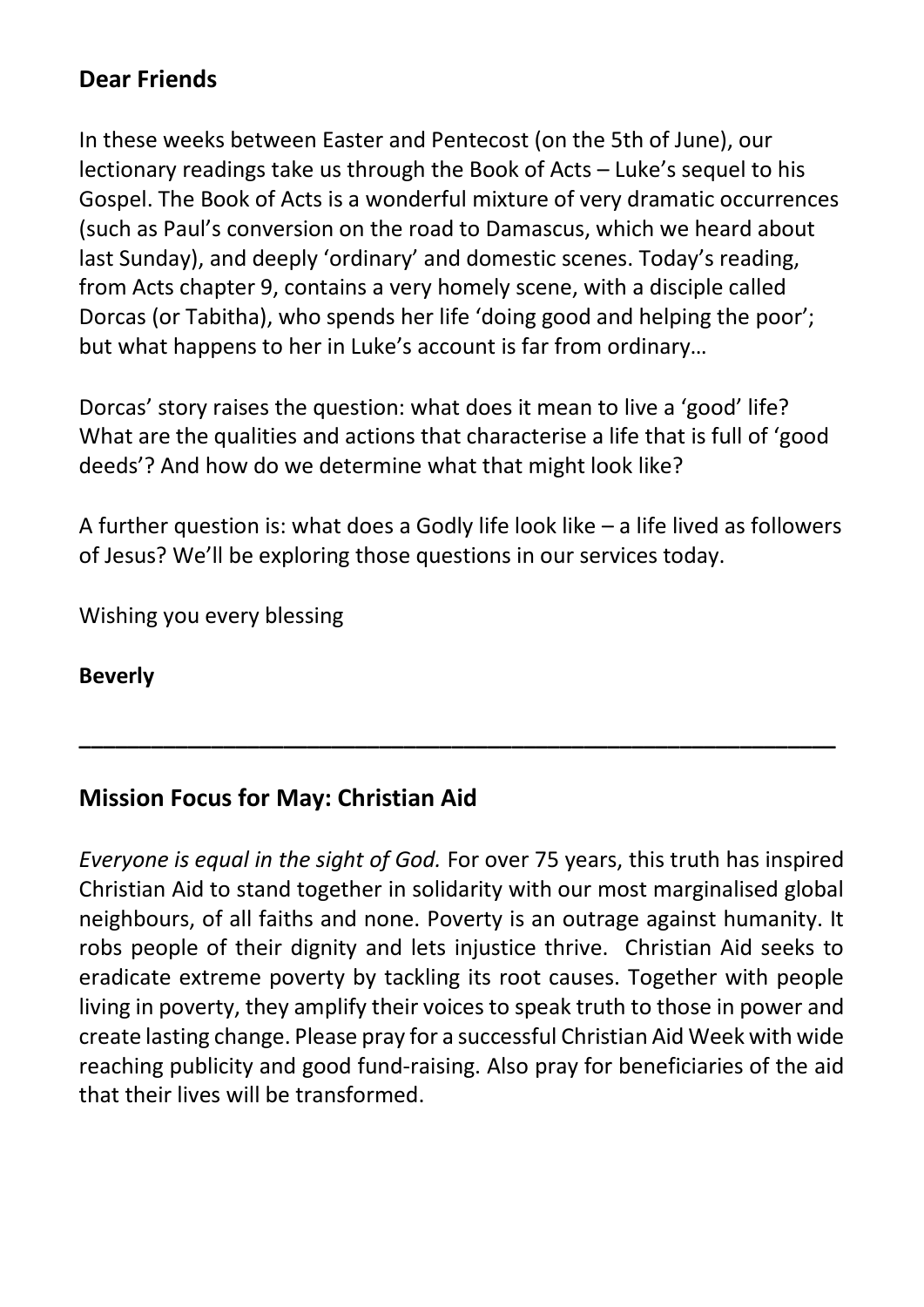### **Dear Friends**

In these weeks between Easter and Pentecost (on the 5th of June), our lectionary readings take us through the Book of Acts – Luke's sequel to his Gospel. The Book of Acts is a wonderful mixture of very dramatic occurrences (such as Paul's conversion on the road to Damascus, which we heard about last Sunday), and deeply 'ordinary' and domestic scenes. Today's reading, from Acts chapter 9, contains a very homely scene, with a disciple called Dorcas (or Tabitha), who spends her life 'doing good and helping the poor'; but what happens to her in Luke's account is far from ordinary…

Dorcas' story raises the question: what does it mean to live a 'good' life? What are the qualities and actions that characterise a life that is full of 'good deeds'? And how do we determine what that might look like?

A further question is: what does a Godly life look like – a life lived as followers of Jesus? We'll be exploring those questions in our services today.

**\_\_\_\_\_\_\_\_\_\_\_\_\_\_\_\_\_\_\_\_\_\_\_\_\_\_\_\_\_\_\_\_\_\_\_\_\_\_\_\_\_\_\_\_\_\_\_\_\_\_\_\_\_\_\_\_\_\_\_\_\_\_\_**

Wishing you every blessing

#### **Beverly**

### **Mission Focus for May: Christian Aid**

*Everyone is equal in the sight of God.* For over 75 years, this truth has inspired Christian Aid to stand together in solidarity with our most marginalised global neighbours, of all faiths and none. Poverty is an outrage against humanity. It robs people of their dignity and lets injustice thrive. Christian Aid seeks to eradicate extreme poverty by tackling its root causes. Together with people living in poverty, they amplify their voices to speak truth to those in power and create lasting change. Please pray for a successful Christian Aid Week with wide reaching publicity and good fund-raising. Also pray for beneficiaries of the aid that their lives will be transformed.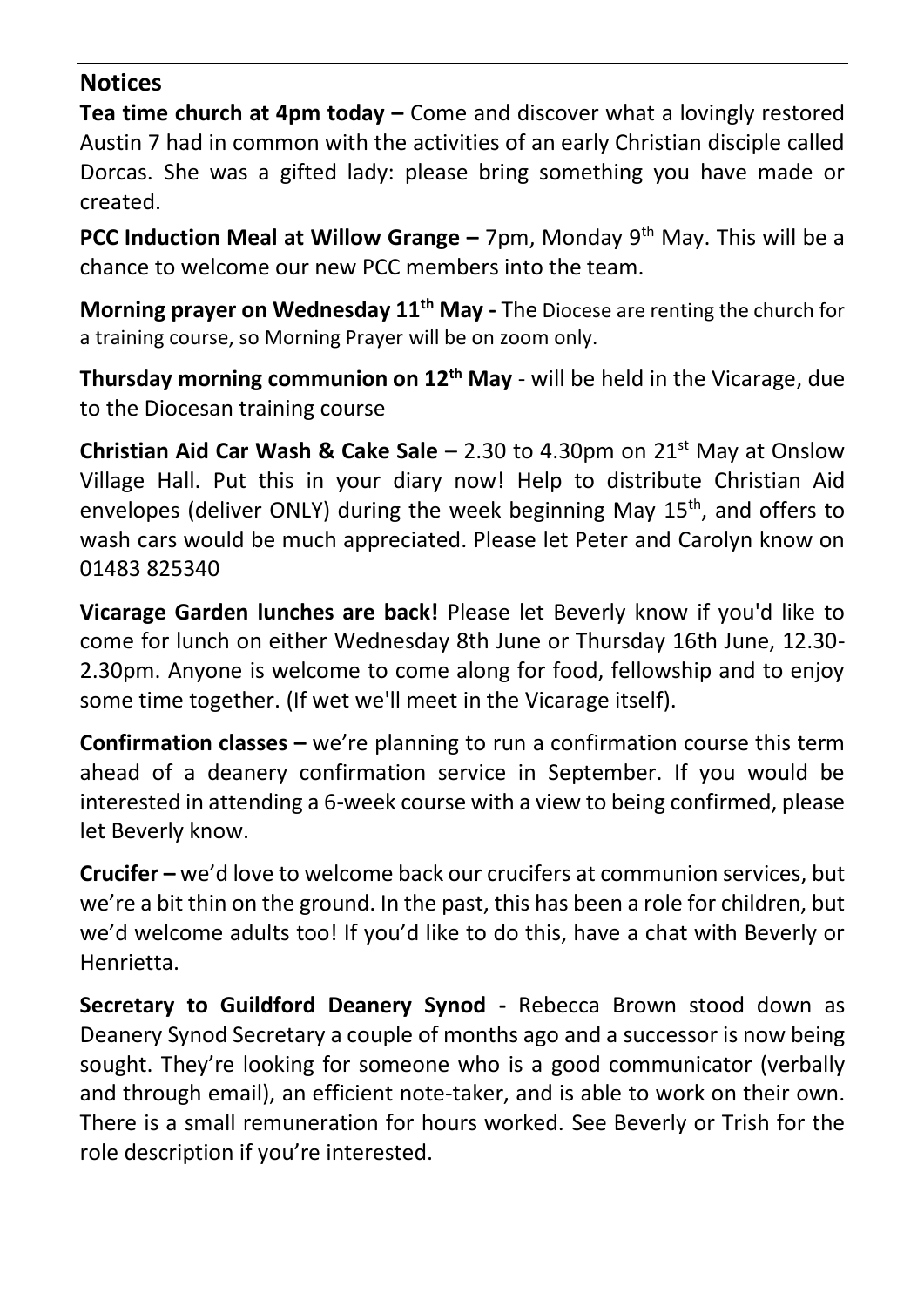#### **Notices**

**Tea time church at 4pm today –** Come and discover what a lovingly restored Austin 7 had in common with the activities of an early Christian disciple called Dorcas. She was a gifted lady: please bring something you have made or created.

**PCC Induction Meal at Willow Grange –** 7pm, Monday 9th May. This will be a chance to welcome our new PCC members into the team.

**Morning prayer on Wednesday 11th May -** The Diocese are renting the church for a training course, so Morning Prayer will be on zoom only.

**Thursday morning communion on 12th May** - will be held in the Vicarage, due to the Diocesan training course

**Christian Aid Car Wash & Cake Sale – 2.30 to 4.30pm on 21<sup>st</sup> May at Onslow** Village Hall. Put this in your diary now! Help to distribute Christian Aid envelopes (deliver ONLY) during the week beginning May  $15<sup>th</sup>$ , and offers to wash cars would be much appreciated. Please let Peter and Carolyn know on 01483 825340

**Vicarage Garden lunches are back!** Please let Beverly know if you'd like to come for lunch on either Wednesday 8th June or Thursday 16th June, 12.30- 2.30pm. Anyone is welcome to come along for food, fellowship and to enjoy some time together. (If wet we'll meet in the Vicarage itself).

**Confirmation classes –** we're planning to run a confirmation course this term ahead of a deanery confirmation service in September. If you would be interested in attending a 6-week course with a view to being confirmed, please let Beverly know.

**Crucifer –** we'd love to welcome back our crucifers at communion services, but we're a bit thin on the ground. In the past, this has been a role for children, but we'd welcome adults too! If you'd like to do this, have a chat with Beverly or Henrietta.

**Secretary to Guildford Deanery Synod -** Rebecca Brown stood down as Deanery Synod Secretary a couple of months ago and a successor is now being sought. They're looking for someone who is a good communicator (verbally and through email), an efficient note-taker, and is able to work on their own. There is a small remuneration for hours worked. See Beverly or Trish for the role description if you're interested.